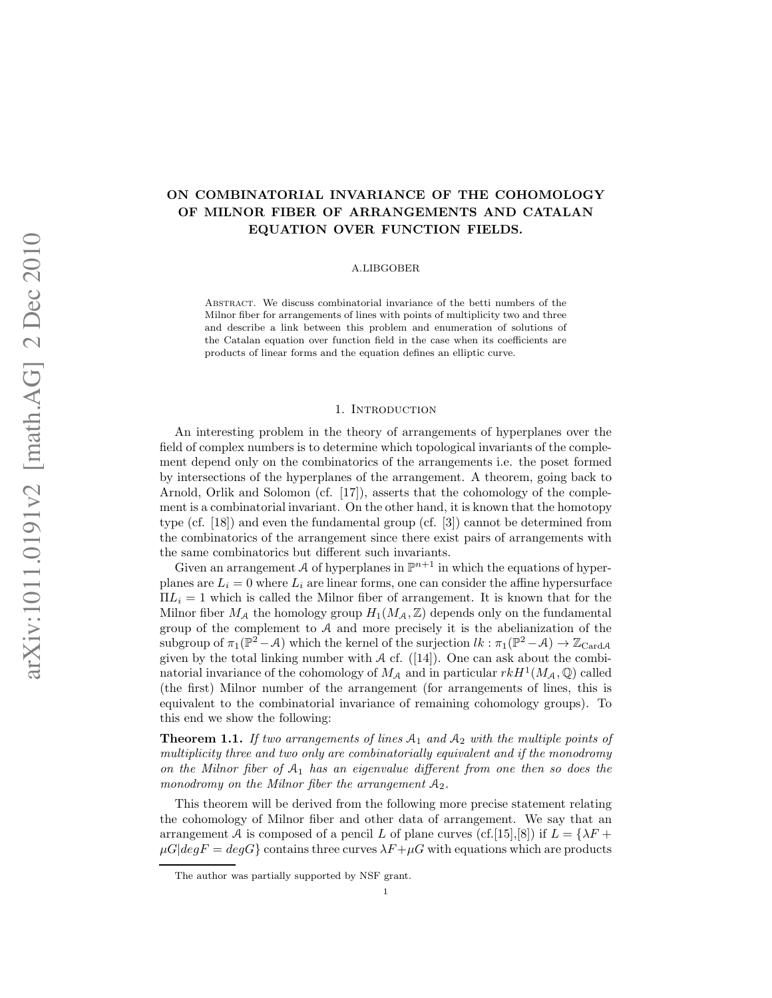# ON COMBINATORIAL INVARIANCE OF THE COHOMOLOGY OF MILNOR FIBER OF ARRANGEMENTS AND CATALAN EQUATION OVER FUNCTION FIELDS.

A.LIBGOBER

Abstract. We discuss combinatorial invariance of the betti numbers of the Milnor fiber for arrangements of lines with points of multiplicity two and three and describe a link between this problem and enumeration of solutions of the Catalan equation over function field in the case when its coefficients are products of linear forms and the equation defines an elliptic curve.

## 1. INTRODUCTION

An interesting problem in the theory of arrangements of hyperplanes over the field of complex numbers is to determine which topological invariants of the complement depend only on the combinatorics of the arrangements i.e. the poset formed by intersections of the hyperplanes of the arrangement. A theorem, going back to Arnold, Orlik and Solomon (cf. [17]), asserts that the cohomology of the complement is a combinatorial invariant. On the other hand, it is known that the homotopy type (cf. [18]) and even the fundamental group (cf. [3]) cannot be determined from the combinatorics of the arrangement since there exist pairs of arrangements with the same combinatorics but different such invariants.

Given an arrangement A of hyperplanes in  $\mathbb{P}^{n+1}$  in which the equations of hyperplanes are  $L_i = 0$  where  $L_i$  are linear forms, one can consider the affine hypersurface  $\Pi L_i = 1$  which is called the Milnor fiber of arrangement. It is known that for the Milnor fiber  $M_A$  the homology group  $H_1(M_A, \mathbb{Z})$  depends only on the fundamental group of the complement to  $A$  and more precisely it is the abelianization of the subgroup of  $\pi_1(\mathbb{P}^2 - A)$  which the kernel of the surjection  $lk : \pi_1(\mathbb{P}^2 - A) \to \mathbb{Z}_{\text{Card}\mathcal{A}}$ given by the total linking number with  $A$  cf. ([14]). One can ask about the combinatorial invariance of the cohomology of  $M_A$  and in particular  $rkH^1(M_A, \mathbb{Q})$  called (the first) Milnor number of the arrangement (for arrangements of lines, this is equivalent to the combinatorial invariance of remaining cohomology groups). To this end we show the following:

**Theorem 1.1.** If two arrangements of lines  $A_1$  and  $A_2$  with the multiple points of multiplicity three and two only are combinatorially equivalent and if the monodromy on the Milnor fiber of  $A_1$  has an eigenvalue different from one then so does the monodromy on the Milnor fiber the arrangement  $A_2$ .

This theorem will be derived from the following more precise statement relating the cohomology of Milnor fiber and other data of arrangement. We say that an arrangement A is composed of a pencil L of plane curves (cf.[15],[8]) if  $L = \{\lambda F +$  $\mu G | degF = degG$ } contains three curves  $\lambda F + \mu G$  with equations which are products

The author was partially supported by NSF grant.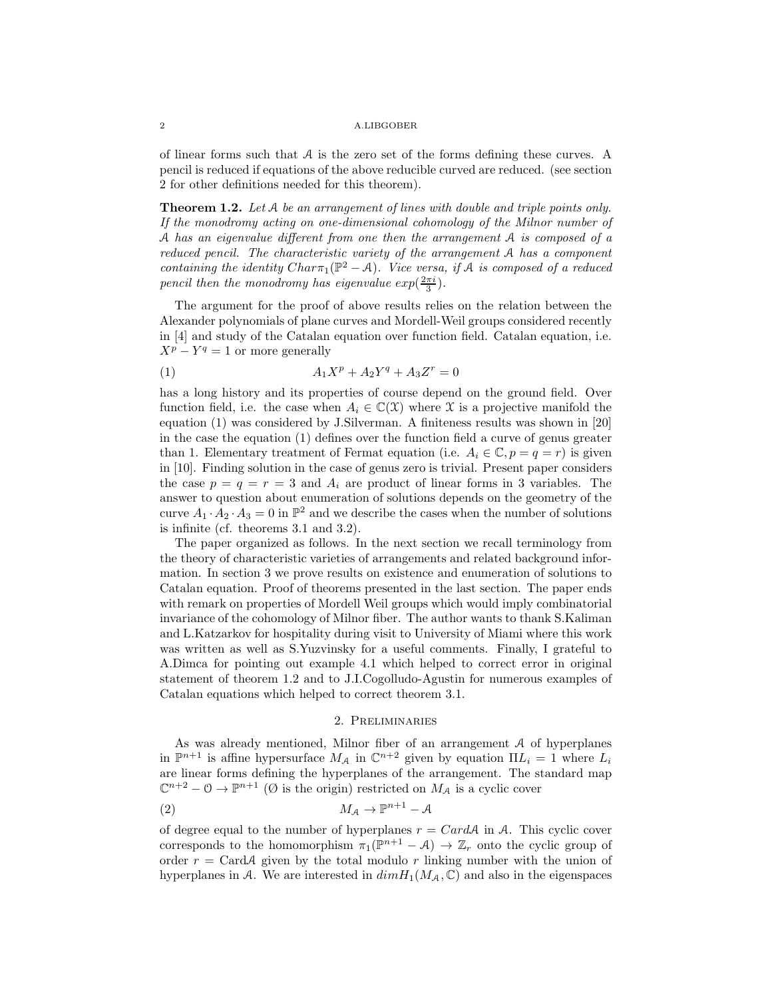of linear forms such that  $A$  is the zero set of the forms defining these curves. A pencil is reduced if equations of the above reducible curved are reduced. (see section 2 for other definitions needed for this theorem).

**Theorem 1.2.** Let A be an arrangement of lines with double and triple points only. If the monodromy acting on one-dimensional cohomology of the Milnor number of A has an eigenvalue different from one then the arrangement A is composed of a reduced pencil. The characteristic variety of the arrangement A has a component containing the identity  $Char\pi_1(\mathbb{P}^2 - A)$ . Vice versa, if A is composed of a reduced pencil then the monodromy has eigenvalue  $exp(\frac{2\pi i}{3})$ .

The argument for the proof of above results relies on the relation between the Alexander polynomials of plane curves and Mordell-Weil groups considered recently in [4] and study of the Catalan equation over function field. Catalan equation, i.e.  $X^p - Y^q = 1$  or more generally

(1) 
$$
A_1 X^p + A_2 Y^q + A_3 Z^r = 0
$$

has a long history and its properties of course depend on the ground field. Over function field, i.e. the case when  $A_i \in \mathbb{C}(\mathfrak{X})$  where X is a projective manifold the equation (1) was considered by J.Silverman. A finiteness results was shown in [20] in the case the equation (1) defines over the function field a curve of genus greater than 1. Elementary treatment of Fermat equation (i.e.  $A_i \in \mathbb{C}, p = q = r$ ) is given in [10]. Finding solution in the case of genus zero is trivial. Present paper considers the case  $p = q = r = 3$  and  $A_i$  are product of linear forms in 3 variables. The answer to question about enumeration of solutions depends on the geometry of the curve  $A_1 \cdot A_2 \cdot A_3 = 0$  in  $\mathbb{P}^2$  and we describe the cases when the number of solutions is infinite (cf. theorems 3.1 and 3.2).

The paper organized as follows. In the next section we recall terminology from the theory of characteristic varieties of arrangements and related background information. In section 3 we prove results on existence and enumeration of solutions to Catalan equation. Proof of theorems presented in the last section. The paper ends with remark on properties of Mordell Weil groups which would imply combinatorial invariance of the cohomology of Milnor fiber. The author wants to thank S.Kaliman and L.Katzarkov for hospitality during visit to University of Miami where this work was written as well as S.Yuzvinsky for a useful comments. Finally, I grateful to A.Dimca for pointing out example 4.1 which helped to correct error in original statement of theorem 1.2 and to J.I.Cogolludo-Agustin for numerous examples of Catalan equations which helped to correct theorem 3.1.

## 2. Preliminaries

As was already mentioned, Milnor fiber of an arrangement A of hyperplanes in  $\mathbb{P}^{n+1}$  is affine hypersurface  $M_{\mathcal{A}}$  in  $\mathbb{C}^{n+2}$  given by equation  $\Pi L_i = 1$  where  $L_i$ are linear forms defining the hyperplanes of the arrangement. The standard map  $\mathbb{C}^{n+2}$  –  $\mathcal{O} \to \mathbb{P}^{n+1}$  ( $\emptyset$  is the origin) restricted on  $M_{\mathcal{A}}$  is a cyclic cover

$$
(2) \t M_A \to \mathbb{P}^{n+1} - A
$$

of degree equal to the number of hyperplanes  $r = CardA$  in A. This cyclic cover corresponds to the homomorphism  $\pi_1(\mathbb{P}^{n+1} - A) \to \mathbb{Z}_r$  onto the cyclic group of order  $r = \text{Card}A$  given by the total modulo r linking number with the union of hyperplanes in A. We are interested in  $dim H_1(M_\mathcal{A}, \mathbb{C})$  and also in the eigenspaces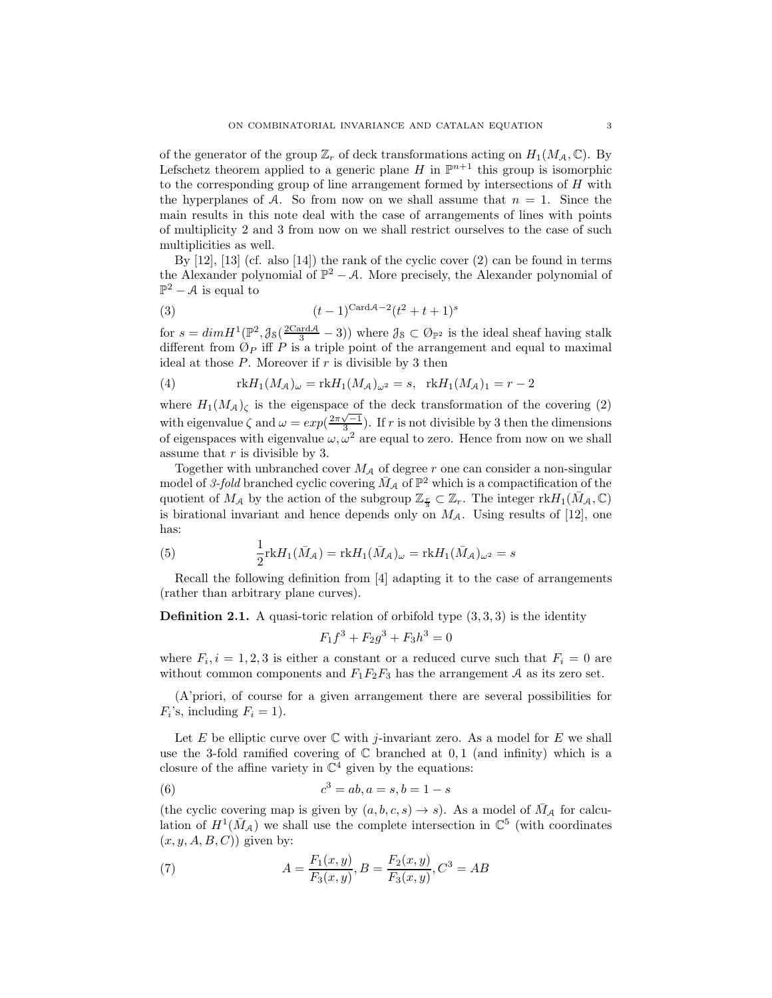of the generator of the group  $\mathbb{Z}_r$  of deck transformations acting on  $H_1(M_\mathcal{A}, \mathbb{C})$ . By Lefschetz theorem applied to a generic plane H in  $\mathbb{P}^{n+1}$  this group is isomorphic to the corresponding group of line arrangement formed by intersections of  $H$  with the hyperplanes of A. So from now on we shall assume that  $n = 1$ . Since the main results in this note deal with the case of arrangements of lines with points of multiplicity 2 and 3 from now on we shall restrict ourselves to the case of such multiplicities as well.

By  $[12]$ ,  $[13]$  (cf. also  $[14]$ ) the rank of the cyclic cover  $(2)$  can be found in terms the Alexander polynomial of  $\mathbb{P}^2 - A$ . More precisely, the Alexander polynomial of  $\mathbb{P}^2$  – A is equal to

(3) 
$$
(t-1)^{\text{Card}\mathcal{A}-2}(t^2+t+1)^s
$$

for  $s = dim H^{1}(\mathbb{P}^{2}, \mathcal{J}_{\mathcal{S}}(\frac{2\text{Card}\mathcal{A}}{3} - 3))$  where  $\mathcal{J}_{\mathcal{S}} \subset \mathcal{O}_{\mathbb{P}^{2}}$  is the ideal sheaf having stalk different from  $\mathcal{O}_P$  iff P is a triple point of the arrangement and equal to maximal ideal at those  $P$ . Moreover if  $r$  is divisible by 3 then

(4) 
$$
\text{rk}H_1(M_A)_{\omega} = \text{rk}H_1(M_A)_{\omega^2} = s, \quad \text{rk}H_1(M_A)_1 = r - 2
$$

where  $H_1(M_A)_{\zeta}$  is the eigenspace of the deck transformation of the covering (2) with eigenvalue  $\zeta$  and  $\omega = exp(\frac{2\pi\sqrt{-1}}{3})$ . If r is not divisible by 3 then the dimensions of eigenspaces with eigenvalue  $\omega, \omega^2$  are equal to zero. Hence from now on we shall assume that  $r$  is divisible by 3.

Together with unbranched cover  $M_A$  of degree r one can consider a non-singular model of 3-fold branched cyclic covering  $\bar{M}_{\mathcal{A}}$  of  $\mathbb{P}^2$  which is a compactification of the quotient of  $M_A$  by the action of the subgroup  $\mathbb{Z}_{\frac{r}{3}} \subset \mathbb{Z}_r$ . The integer  $rkH_1(\bar{M}_A, \mathbb{C})$ is birational invariant and hence depends only on  $M_A$ . Using results of [12], one has:

(5) 
$$
\frac{1}{2} \text{rk} H_1(\bar{M}_A) = \text{rk} H_1(\bar{M}_A)_{\omega} = \text{rk} H_1(\bar{M}_A)_{\omega^2} = s
$$

Recall the following definition from [4] adapting it to the case of arrangements (rather than arbitrary plane curves).

**Definition 2.1.** A quasi-toric relation of orbifold type  $(3, 3, 3)$  is the identity

$$
F_1 f^3 + F_2 g^3 + F_3 h^3 = 0
$$

where  $F_i$ ,  $i = 1, 2, 3$  is either a constant or a reduced curve such that  $F_i = 0$  are without common components and  $F_1F_2F_3$  has the arrangement A as its zero set.

(A'priori, of course for a given arrangement there are several possibilities for  $F_i$ 's, including  $F_i = 1$ ).

Let E be elliptic curve over  $\mathbb C$  with *j*-invariant zero. As a model for E we shall use the 3-fold ramified covering of  $\mathbb C$  branched at 0,1 (and infinity) which is a closure of the affine variety in  $\mathbb{C}^4$  given by the equations:

(6) 
$$
c^3 = ab, a = s, b = 1 - s
$$

(the cyclic covering map is given by  $(a, b, c, s) \rightarrow s$ ). As a model of  $\overline{M}_{\mathcal{A}}$  for calculation of  $H^1(\bar{M}_\mathcal{A})$  we shall use the complete intersection in  $\mathbb{C}^5$  (with coordinates  $(x, y, A, B, C)$  given by:

(7) 
$$
A = \frac{F_1(x, y)}{F_3(x, y)}, B = \frac{F_2(x, y)}{F_3(x, y)}, C^3 = AB
$$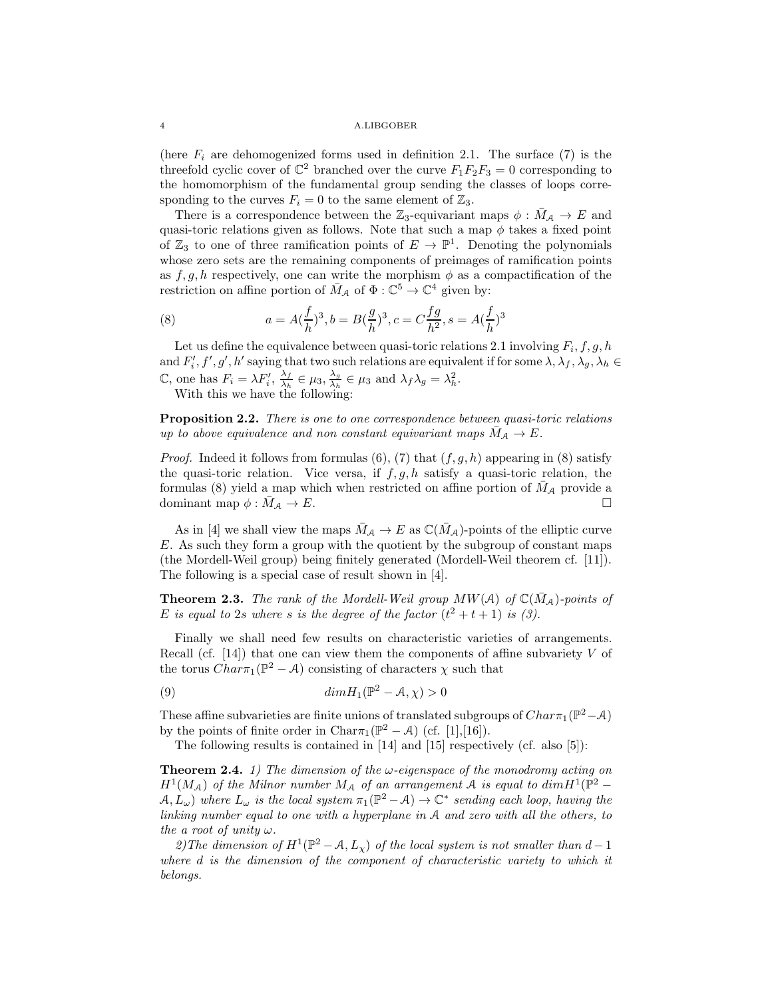(here  $F_i$  are dehomogenized forms used in definition 2.1. The surface (7) is the threefold cyclic cover of  $\mathbb{C}^2$  branched over the curve  $F_1F_2F_3 = 0$  corresponding to the homomorphism of the fundamental group sending the classes of loops corresponding to the curves  $F_i = 0$  to the same element of  $\mathbb{Z}_3$ .

There is a correspondence between the  $\mathbb{Z}_3$ -equivariant maps  $\phi : \bar{M}_A \to E$  and quasi-toric relations given as follows. Note that such a map  $\phi$  takes a fixed point of  $\mathbb{Z}_3$  to one of three ramification points of  $E \to \mathbb{P}^1$ . Denoting the polynomials whose zero sets are the remaining components of preimages of ramification points as f, g, h respectively, one can write the morphism  $\phi$  as a compactification of the restriction on affine portion of  $\bar{M}_{\mathcal{A}}$  of  $\Phi : \mathbb{C}^5 \to \mathbb{C}^4$  given by:

(8) 
$$
a = A(\frac{f}{h})^3, b = B(\frac{g}{h})^3, c = C\frac{fg}{h^2}, s = A(\frac{f}{h})^3
$$

Let us define the equivalence between quasi-toric relations 2.1 involving  $F_i, f, g, h$ and  $F'_i, f', g', h'$  saying that two such relations are equivalent if for some  $\lambda, \lambda_f, \lambda_g, \lambda_h \in$ C, one has  $F_i = \lambda F'_i$ ,  $\frac{\lambda_f}{\lambda_h} \in \mu_3$ ,  $\frac{\lambda_g}{\lambda_h} \in \mu_3$  and  $\lambda_f \lambda_g = \lambda_h^2$ .

With this we have the following:

Proposition 2.2. There is one to one correspondence between quasi-toric relations up to above equivalence and non constant equivariant maps  $\overline{M}_{\mathcal{A}} \to E$ .

*Proof.* Indeed it follows from formulas  $(6)$ ,  $(7)$  that  $(f, g, h)$  appearing in  $(8)$  satisfy the quasi-toric relation. Vice versa, if  $f, g, h$  satisfy a quasi-toric relation, the formulas (8) yield a map which when restricted on affine portion of  $M_A$  provide a dominant map  $\phi : M_{\mathcal{A}} \to E$ .

As in [4] we shall view the maps  $\bar{M}_{\mathcal{A}} \to E$  as  $\mathbb{C}(\bar{M}_{\mathcal{A}})$ -points of the elliptic curve E. As such they form a group with the quotient by the subgroup of constant maps (the Mordell-Weil group) being finitely generated (Mordell-Weil theorem cf. [11]). The following is a special case of result shown in [4].

**Theorem 2.3.** The rank of the Mordell-Weil group  $MW(A)$  of  $\mathbb{C}(\overline{M}_A)$ -points of E is equal to 2s where s is the degree of the factor  $(t^2 + t + 1)$  is (3).

Finally we shall need few results on characteristic varieties of arrangements. Recall (cf.  $[14]$ ) that one can view them the components of affine subvariety V of the torus  $Char\pi_1(\mathbb{P}^2 - A)$  consisting of characters  $\chi$  such that

(9) 
$$
dim H_1(\mathbb{P}^2 - A, \chi) > 0
$$

These affine subvarieties are finite unions of translated subgroups of  $Char_{\mathcal{T}_1}(\mathbb{P}^2-\mathcal{A})$ by the points of finite order in  $Char_{1}(\mathbb{P}^{2}-\mathcal{A})$  (cf. [1],[16]).

The following results is contained in [14] and [15] respectively (cf. also [5]):

**Theorem 2.4.** 1) The dimension of the  $\omega$ -eigenspace of the monodromy acting on  $H^1(M_{\mathcal{A}})$  of the Milnor number  $M_{\mathcal{A}}$  of an arrangement A is equal to dim $H^1(\mathbb{P}^2$  –  $A, L_{\omega}$ ) where  $L_{\omega}$  is the local system  $\pi_1(\mathbb{P}^2 - A) \to \mathbb{C}^*$  sending each loop, having the linking number equal to one with a hyperplane in A and zero with all the others, to the a root of unity  $\omega$ .

2)The dimension of  $H^1(\mathbb{P}^2 - A, L_\chi)$  of the local system is not smaller than  $d-1$ where d is the dimension of the component of characteristic variety to which it belongs.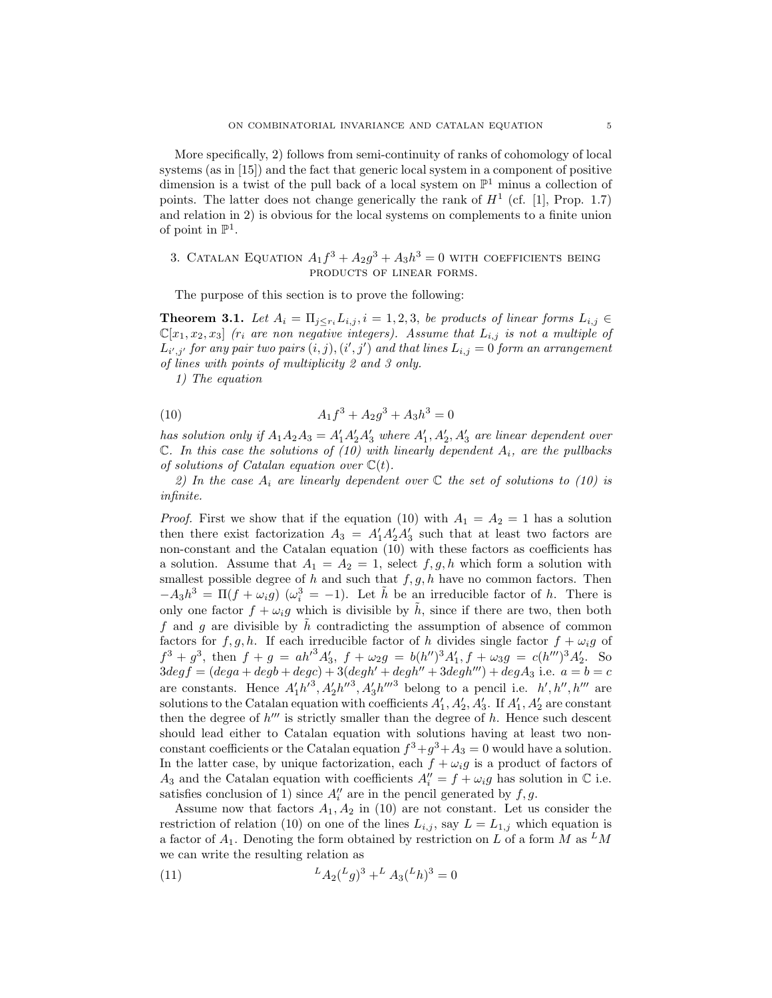More specifically, 2) follows from semi-continuity of ranks of cohomology of local systems (as in [15]) and the fact that generic local system in a component of positive dimension is a twist of the pull back of a local system on  $\mathbb{P}^1$  minus a collection of points. The latter does not change generically the rank of  $H^1$  (cf. [1], Prop. 1.7) and relation in 2) is obvious for the local systems on complements to a finite union of point in  $\mathbb{P}^1$ .

## 3. CATALAN EQUATION  $A_1f^3 + A_2g^3 + A_3h^3 = 0$  with coefficients being PRODUCTS OF LINEAR FORMS.

The purpose of this section is to prove the following:

**Theorem 3.1.** Let  $A_i = \prod_{j \leq r_i} L_{i,j}$ ,  $i = 1, 2, 3$ , be products of linear forms  $L_{i,j} \in$  $\mathbb{C}[x_1, x_2, x_3]$  (r<sub>i</sub> are non negative integers). Assume that  $L_{i,j}$  is not a multiple of  $L_{i',j'}$  for any pair two pairs  $(i,j),(i',j')$  and that lines  $L_{i,j}=0$  form an arrangement of lines with points of multiplicity 2 and 3 only.

1) The equation

(10) 
$$
A_1 f^3 + A_2 g^3 + A_3 h^3 = 0
$$

has solution only if  $A_1A_2A_3 = A'_1A'_2A'_3$  where  $A'_1, A'_2, A'_3$  are linear dependent over  $\mathbb C$ . In this case the solutions of (10) with linearly dependent  $A_i$ , are the pullbacks of solutions of Catalan equation over  $\mathbb{C}(t)$ .

2) In the case  $A_i$  are linearly dependent over  $\mathbb C$  the set of solutions to (10) is infinite.

*Proof.* First we show that if the equation (10) with  $A_1 = A_2 = 1$  has a solution then there exist factorization  $A_3 = A'_1 A'_2 A'_3$  such that at least two factors are non-constant and the Catalan equation (10) with these factors as coefficients has a solution. Assume that  $A_1 = A_2 = 1$ , select  $f, g, h$  which form a solution with smallest possible degree of h and such that  $f, g, h$  have no common factors. Then  $-A_3h^3 = \Pi(f + \omega_i g)$  ( $\omega_i^3 = -1$ ). Let  $\tilde{h}$  be an irreducible factor of h. There is only one factor  $f + \omega_i g$  which is divisible by  $\tilde{h}$ , since if there are two, then both f and g are divisible by h contradicting the assumption of absence of common factors for f, g, h. If each irreducible factor of h divides single factor  $f + \omega_i g$  of  $f^3 + g^3$ , then  $f + g = ah'^3A'_3$ ,  $f + \omega_2g = b(h'')^3A'_1$ ,  $f + \omega_3g = c(h''')^3A'_2$ . So  $3deg f = (deg a + deg b + deg c) + 3 (deg h' + deg h'' + 3 deg h''') + deg A_3$  i.e.  $a = b = c$ are constants. Hence  $A'_1 h'^3$ ,  $A'_2 h''^3$ ,  $A'_3 h'''^3$  belong to a pencil i.e.  $h', h'', h'''$  are solutions to the Catalan equation with coefficients  $A'_1, A'_2, A'_3$ . If  $A'_1, A'_2$  are constant then the degree of  $h^{\prime\prime\prime}$  is strictly smaller than the degree of h. Hence such descent should lead either to Catalan equation with solutions having at least two nonconstant coefficients or the Catalan equation  $f^3 + g^3 + A_3 = 0$  would have a solution. In the latter case, by unique factorization, each  $f + \omega_i g$  is a product of factors of  $A_3$  and the Catalan equation with coefficients  $A''_i = f + \omega_i g$  has solution in  $\mathbb C$  i.e. satisfies conclusion of 1) since  $A''_i$  are in the pencil generated by  $f, g$ .

Assume now that factors  $A_1, A_2$  in (10) are not constant. Let us consider the restriction of relation (10) on one of the lines  $L_{i,j}$ , say  $L = L_{1,j}$  which equation is a factor of  $A_1$ . Denoting the form obtained by restriction on L of a form M as  $^L M$ we can write the resulting relation as

(11) 
$$
{}^{L}A_{2}({}^{L}g)^{3} + {}^{L}A_{3}({}^{L}h)^{3} = 0
$$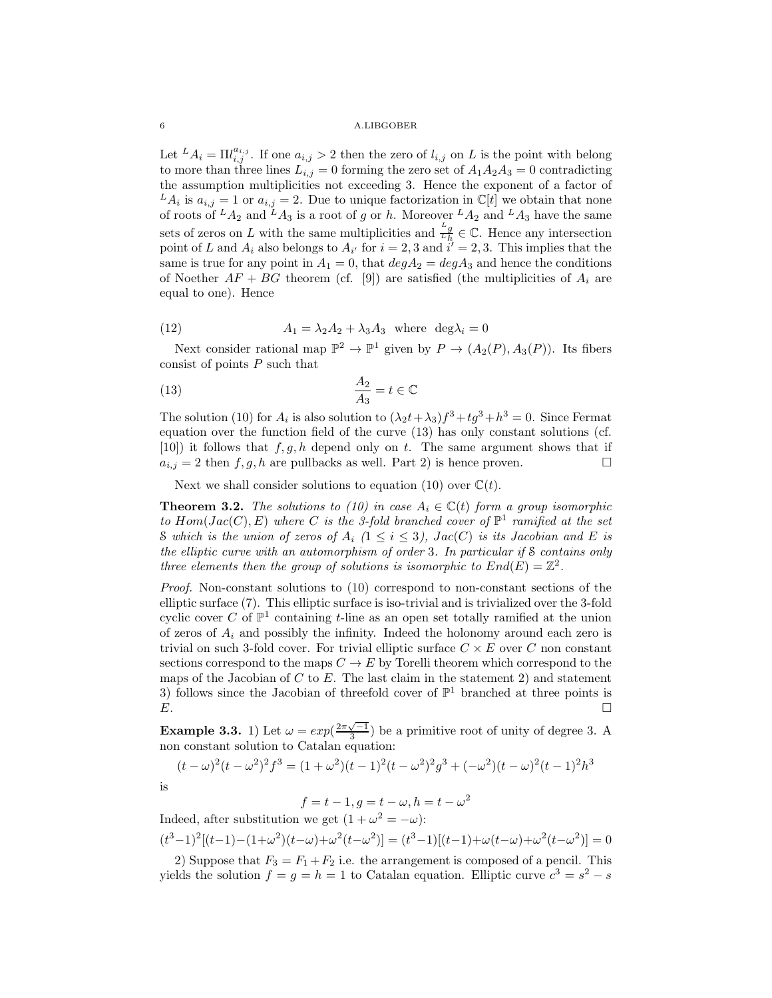Let  ${}^L A_i = \prod_{i,j}^{a_{i,j}}$ . If one  $a_{i,j} > 2$  then the zero of  $l_{i,j}$  on L is the point with belong to more than three lines  $L_{i,j} = 0$  forming the zero set of  $A_1A_2A_3 = 0$  contradicting the assumption multiplicities not exceeding 3. Hence the exponent of a factor of  $^L A_i$  is  $a_{i,j} = 1$  or  $a_{i,j} = 2$ . Due to unique factorization in  $\mathbb{C}[t]$  we obtain that none of roots of  ${}^L A_2$  and  ${}^L A_3$  is a root of g or h. Moreover  ${}^L A_2$  and  ${}^L A_3$  have the same sets of zeros on L with the same multiplicities and  $\frac{L_g}{L_h} \in \mathbb{C}$ . Hence any intersection point of L and  $A_i$  also belongs to  $A_{i'}$  for  $i = 2, 3$  and  $i' = 2, 3$ . This implies that the same is true for any point in  $A_1 = 0$ , that  $deg A_2 = deg A_3$  and hence the conditions of Noether  $AF + BG$  theorem (cf. [9]) are satisfied (the multiplicities of  $A_i$  are equal to one). Hence

(12) 
$$
A_1 = \lambda_2 A_2 + \lambda_3 A_3 \text{ where } \deg \lambda_i = 0
$$

Next consider rational map  $\mathbb{P}^2 \to \mathbb{P}^1$  given by  $P \to (A_2(P), A_3(P))$ . Its fibers consist of points P such that

$$
\frac{A_2}{A_3} = t \in \mathbb{C}
$$

The solution (10) for  $A_i$  is also solution to  $(\lambda_2 t + \lambda_3)f^3 + tg^3 + h^3 = 0$ . Since Fermat equation over the function field of the curve (13) has only constant solutions (cf. [10]) it follows that  $f, g, h$  depend only on t. The same argument shows that if  $a_{i,j} = 2$  then  $f, g, h$  are pullbacks as well. Part 2) is hence proven.

Next we shall consider solutions to equation (10) over  $\mathbb{C}(t)$ .

**Theorem 3.2.** The solutions to (10) in case  $A_i \in \mathbb{C}(t)$  form a group isomorphic to  $Hom(Jac(C), E)$  where C is the 3-fold branched cover of  $\mathbb{P}^1$  ramified at the set S which is the union of zeros of  $A_i$  (1  $\leq i \leq 3$ ), Jac(C) is its Jacobian and E is the elliptic curve with an automorphism of order 3. In particular if S contains only three elements then the group of solutions is isomorphic to  $End(E) = \mathbb{Z}^2$ .

Proof. Non-constant solutions to (10) correspond to non-constant sections of the elliptic surface (7). This elliptic surface is iso-trivial and is trivialized over the 3-fold cyclic cover C of  $\mathbb{P}^1$  containing t-line as an open set totally ramified at the union of zeros of  $A_i$  and possibly the infinity. Indeed the holonomy around each zero is trivial on such 3-fold cover. For trivial elliptic surface  $C \times E$  over C non constant sections correspond to the maps  $C \to E$  by Torelli theorem which correspond to the maps of the Jacobian of  $C$  to  $E$ . The last claim in the statement 2) and statement 3) follows since the Jacobian of threefold cover of  $\mathbb{P}^1$  branched at three points is  $\overline{E}$ .

**Example 3.3.** 1) Let  $\omega = exp(\frac{2\pi\sqrt{-1}}{3})$  be a primitive root of unity of degree 3. A non constant solution to Catalan equation:

$$
(t - \omega)^2 (t - \omega^2)^2 f^3 = (1 + \omega^2)(t - 1)^2 (t - \omega^2)^2 g^3 + (-\omega^2)(t - \omega)^2 (t - 1)^2 h^3
$$
 is

$$
f = t - 1, g = t - \omega, h = t - \omega^2
$$

Indeed, after substitution we get  $(1 + \omega^2 = -\omega)$ :  $(t^3-1)^2[(t-1)-(1+\omega^2)(t-\omega)+\omega^2(t-\omega^2)] = (t^3-1)[(t-1)+\omega(t-\omega)+\omega^2(t-\omega^2)] = 0$ 

2) Suppose that  $F_3 = F_1 + F_2$  i.e. the arrangement is composed of a pencil. This yields the solution  $f = g = h = 1$  to Catalan equation. Elliptic curve  $c^3 = s^2 - s$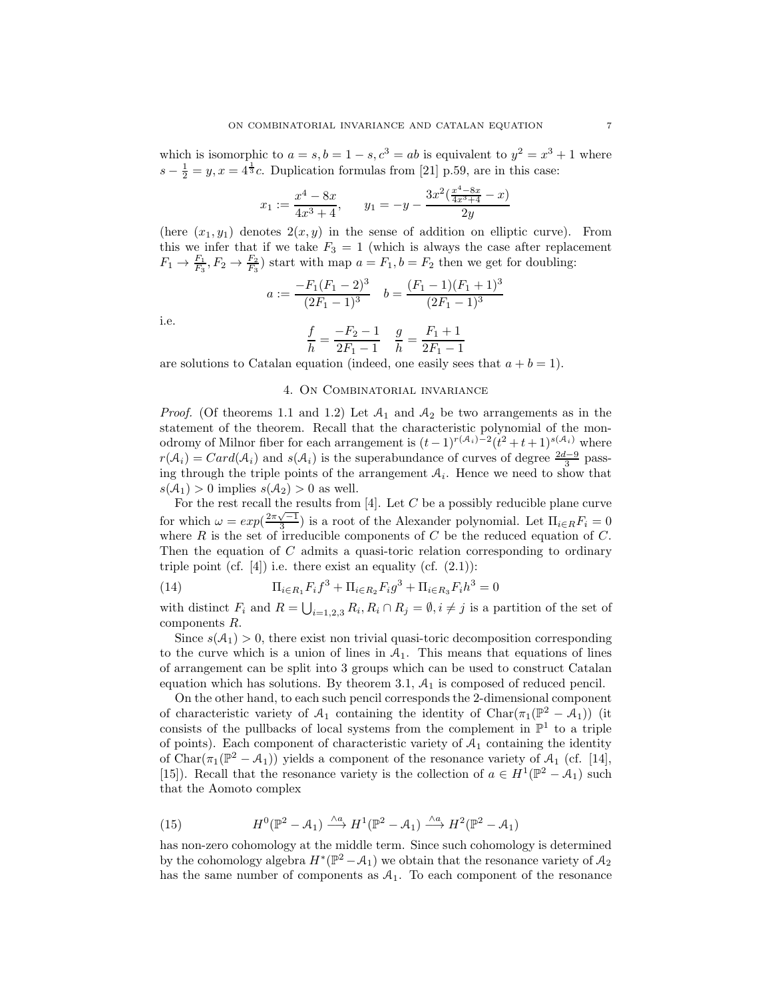which is isomorphic to  $a = s, b = 1 - s, c^3 = ab$  is equivalent to  $y^2 = x^3 + 1$  where  $s - \frac{1}{2} = y, x = 4^{\frac{1}{3}}c$ . Duplication formulas from [21] p.59, are in this case:

$$
x_1 := \frac{x^4 - 8x}{4x^3 + 4}, \qquad y_1 = -y - \frac{3x^2(\frac{x^4 - 8x}{4x^3 + 4} - x)}{2y}
$$

(here  $(x_1, y_1)$  denotes  $2(x, y)$  in the sense of addition on elliptic curve). From this we infer that if we take  $F_3 = 1$  (which is always the case after replacement  $F_1 \rightarrow \frac{F_1}{F_3}, F_2 \rightarrow \frac{F_2}{F_3}$  start with map  $a = F_1, b = F_2$  then we get for doubling:

$$
a := \frac{-F_1(F_1 - 2)^3}{(2F_1 - 1)^3} \quad b = \frac{(F_1 - 1)(F_1 + 1)^3}{(2F_1 - 1)^3}
$$

i.e.

$$
\frac{f}{h} = \frac{-F_2 - 1}{2F_1 - 1} \quad \frac{g}{h} = \frac{F_1 + 1}{2F_1 - 1}
$$

are solutions to Catalan equation (indeed, one easily sees that  $a + b = 1$ ).

## 4. On Combinatorial invariance

*Proof.* (Of theorems 1.1 and 1.2) Let  $A_1$  and  $A_2$  be two arrangements as in the statement of the theorem. Recall that the characteristic polynomial of the monodromy of Milnor fiber for each arrangement is  $(t-1)^{r(\mathcal{A}_i)-2}(t^2+t+1)^{s(\mathcal{A}_i)}$  where  $r(\mathcal{A}_i) = Card(\mathcal{A}_i)$  and  $s(\mathcal{A}_i)$  is the superabundance of curves of degree  $\frac{2d-9}{3}$  passing through the triple points of the arrangement  $A_i$ . Hence we need to show that  $s(A_1) > 0$  implies  $s(A_2) > 0$  as well.

For the rest recall the results from  $[4]$ . Let  $C$  be a possibly reducible plane curve for which  $\omega = exp(\frac{2\pi\sqrt{-1}}{3})$  is a root of the Alexander polynomial. Let  $\Pi_{i\in R}F_i = 0$ where  $R$  is the set of irreducible components of  $C$  be the reduced equation of  $C$ . Then the equation of  $C$  admits a quasi-toric relation corresponding to ordinary triple point (cf.  $[4]$ ) i.e. there exist an equality (cf.  $(2.1)$ ):

(14) 
$$
\Pi_{i \in R_1} F_i f^3 + \Pi_{i \in R_2} F_i g^3 + \Pi_{i \in R_3} F_i h^3 = 0
$$

with distinct  $F_i$  and  $R = \bigcup_{i=1,2,3} R_i, R_i \cap R_j = \emptyset, i \neq j$  is a partition of the set of components R.

Since  $s(A_1) > 0$ , there exist non trivial quasi-toric decomposition corresponding to the curve which is a union of lines in  $A_1$ . This means that equations of lines of arrangement can be split into 3 groups which can be used to construct Catalan equation which has solutions. By theorem 3.1,  $A_1$  is composed of reduced pencil.

On the other hand, to each such pencil corresponds the 2-dimensional component of characteristic variety of  $A_1$  containing the identity of Char $(\pi_1(\mathbb{P}^2 - A_1))$  (it consists of the pullbacks of local systems from the complement in  $\mathbb{P}^1$  to a triple of points). Each component of characteristic variety of  $A_1$  containing the identity of Char( $\pi_1(\mathbb{P}^2 - A_1)$ ) yields a component of the resonance variety of  $A_1$  (cf. [14], [15]). Recall that the resonance variety is the collection of  $a \in H^1(\mathbb{P}^2 - A_1)$  such that the Aomoto complex

(15) 
$$
H^{0}(\mathbb{P}^{2}-A_{1}) \xrightarrow{\wedge a} H^{1}(\mathbb{P}^{2}-A_{1}) \xrightarrow{\wedge a} H^{2}(\mathbb{P}^{2}-A_{1})
$$

has non-zero cohomology at the middle term. Since such cohomology is determined by the cohomology algebra  $H^*(\mathbb{P}^2 - \mathcal{A}_1)$  we obtain that the resonance variety of  $\mathcal{A}_2$ has the same number of components as  $A_1$ . To each component of the resonance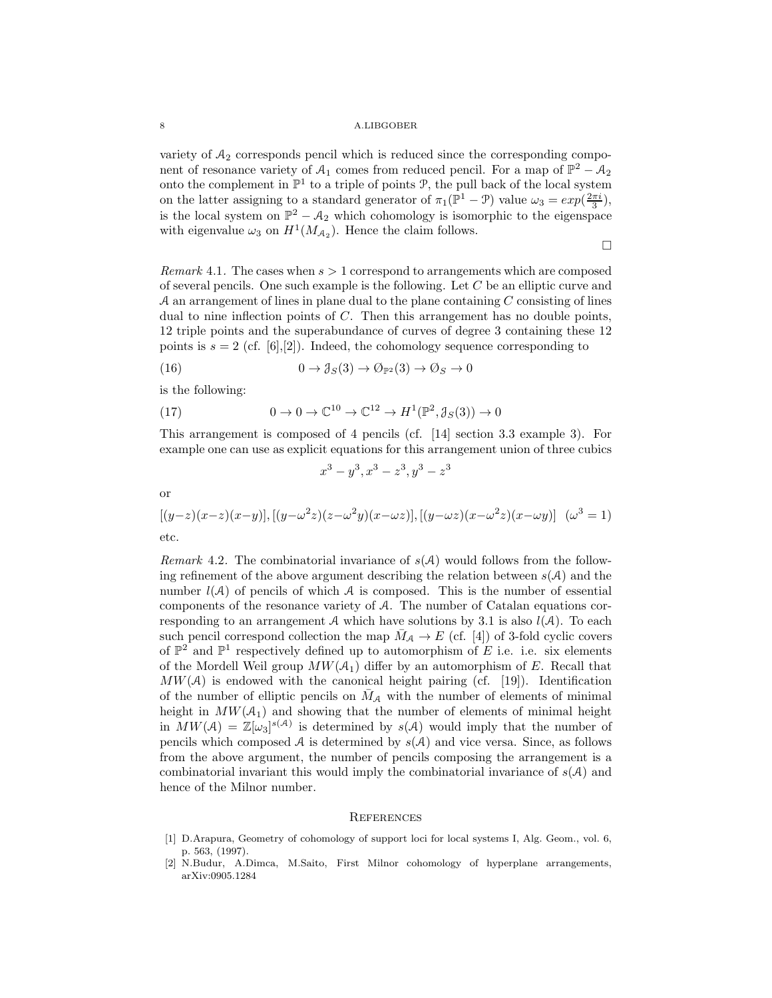variety of  $A_2$  corresponds pencil which is reduced since the corresponding component of resonance variety of  $A_1$  comes from reduced pencil. For a map of  $\mathbb{P}^2 - A_2$ onto the complement in  $\mathbb{P}^1$  to a triple of points  $\mathcal{P}$ , the pull back of the local system on the latter assigning to a standard generator of  $\pi_1(\mathbb{P}^1 - \mathbb{P})$  value  $\omega_3 = exp(\frac{2\pi i}{3})$ , is the local system on  $\mathbb{P}^2 - A_2$  which cohomology is isomorphic to the eigenspace with eigenvalue  $\omega_3$  on  $H^1(M_{\mathcal{A}_2})$ . Hence the claim follows.

 $\Box$ 

*Remark* 4.1. The cases when  $s > 1$  correspond to arrangements which are composed of several pencils. One such example is the following. Let C be an elliptic curve and A an arrangement of lines in plane dual to the plane containing  $C$  consisting of lines dual to nine inflection points of  $C$ . Then this arrangement has no double points, 12 triple points and the superabundance of curves of degree 3 containing these 12 points is  $s = 2$  (cf. [6], [2]). Indeed, the cohomology sequence corresponding to

(16) 
$$
0 \to \mathcal{J}_S(3) \to \mathcal{O}_{\mathbb{P}^2}(3) \to \mathcal{O}_S \to 0
$$

is the following:

(17) 
$$
0 \to 0 \to \mathbb{C}^{10} \to \mathbb{C}^{12} \to H^1(\mathbb{P}^2, \mathcal{J}_S(3)) \to 0
$$

This arrangement is composed of 4 pencils (cf. [14] section 3.3 example 3). For example one can use as explicit equations for this arrangement union of three cubics

$$
x^3 - y^3, x^3 - z^3, y^3 - z^3
$$

or

$$
[(y-z)(x-z)(x-y)], [(y-\omega^2z)(z-\omega^2y)(x-\omega z)], [(y-\omega z)(x-\omega^2z)(x-\omega y)] \ (\omega^3=1)
$$
 etc.

*Remark* 4.2. The combinatorial invariance of  $s(A)$  would follows from the following refinement of the above argument describing the relation between  $s(\mathcal{A})$  and the number  $l(A)$  of pencils of which A is composed. This is the number of essential components of the resonance variety of A. The number of Catalan equations corresponding to an arrangement A which have solutions by 3.1 is also  $l(A)$ . To each such pencil correspond collection the map  $\overline{M}_{\mathcal{A}} \to E$  (cf. [4]) of 3-fold cyclic covers of  $\mathbb{P}^2$  and  $\mathbb{P}^1$  respectively defined up to automorphism of E i.e. i.e. six elements of the Mordell Weil group  $MW(A_1)$  differ by an automorphism of E. Recall that  $MW(\mathcal{A})$  is endowed with the canonical height pairing (cf. [19]). Identification of the number of elliptic pencils on  $\bar{M}_{\mathcal{A}}$  with the number of elements of minimal height in  $MW(\mathcal{A}_1)$  and showing that the number of elements of minimal height in  $MW(A) = \mathbb{Z}[\omega_3]^{s(A)}$  is determined by  $s(A)$  would imply that the number of pencils which composed A is determined by  $s(A)$  and vice versa. Since, as follows from the above argument, the number of pencils composing the arrangement is a combinatorial invariant this would imply the combinatorial invariance of  $s(A)$  and hence of the Milnor number.

### **REFERENCES**

<sup>[1]</sup> D.Arapura, Geometry of cohomology of support loci for local systems I, Alg. Geom., vol. 6, p. 563, (1997).

<sup>[2]</sup> N.Budur, A.Dimca, M.Saito, First Milnor cohomology of hyperplane arrangements, arXiv:0905.1284